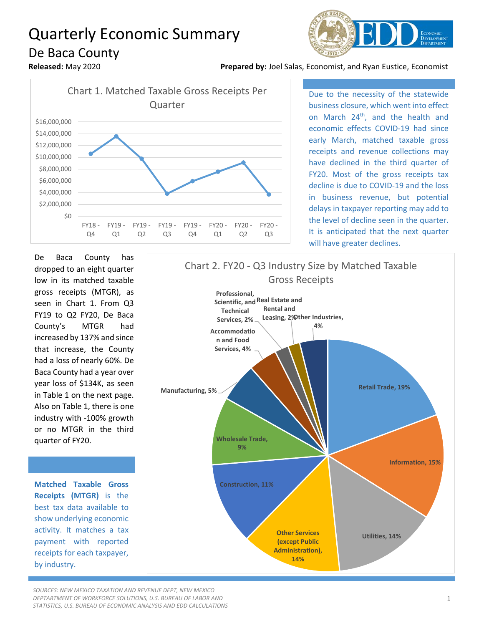## Quarterly Economic Summary De Baca County



**Released:** May 2020 **Prepared by:** Joel Salas, Economist, and Ryan Eustice, Economist



Due to the necessity of the statewide business closure, which went into effect on March 24<sup>th</sup>, and the health and economic effects COVID-19 had since early March, matched taxable gross receipts and revenue collections may have declined in the third quarter of FY20. Most of the gross receipts tax decline is due to COVID-19 and the loss in business revenue, but potential delays in taxpayer reporting may add to the level of decline seen in the quarter. It is anticipated that the next quarter will have greater declines.

De Baca County has dropped to an eight quarter low in its matched taxable gross receipts (MTGR), as seen in Chart 1. From Q3 FY19 to Q2 FY20, De Baca County's MTGR had increased by 137% and since that increase, the County had a loss of nearly 60%. De Baca County had a year over year loss of \$134K, as seen in Table 1 on the next page. Also on Table 1, there is one industry with -100% growth or no MTGR in the third quarter of FY20.

**Matched Taxable Gross Receipts (MTGR)** is the best tax data available to show underlying economic activity. It matches a tax payment with reported receipts for each taxpayer, by industry.

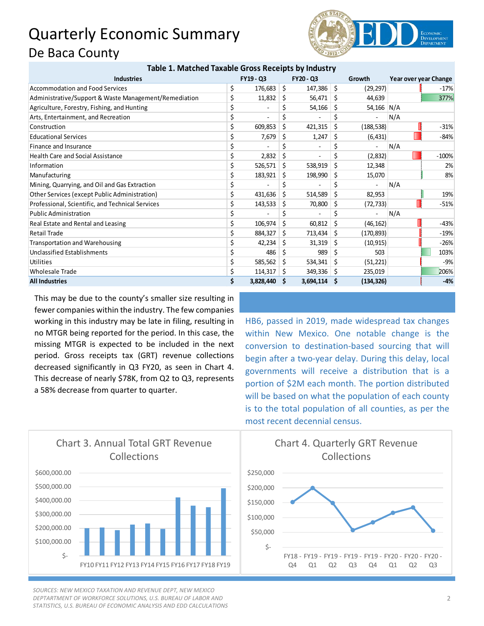## Quarterly Economic Summary De Baca County



| Table 1. Matched Taxable Gross Receipts by Industry   |    |                  |         |                  |     |            |                       |         |
|-------------------------------------------------------|----|------------------|---------|------------------|-----|------------|-----------------------|---------|
| <b>Industries</b>                                     |    | <b>FY19 - Q3</b> |         | <b>FY20 - Q3</b> |     | Growth     | Year over year Change |         |
| <b>Accommodation and Food Services</b>                | \$ | 176,683          | $\zeta$ | 147,386          | \$  | (29, 297)  |                       | $-17%$  |
| Administrative/Support & Waste Management/Remediation |    | 11,832           | \$      | 56,471           | Ś   | 44,639     |                       | 377%    |
| Agriculture, Forestry, Fishing, and Hunting           |    |                  |         | 54,166           | Ś   | 54,166 N/A |                       |         |
| Arts, Entertainment, and Recreation                   |    |                  |         |                  | \$  |            | N/A                   |         |
| Construction                                          |    | 609,853          | Ś.      | 421,315          | \$  | (188, 538) |                       | $-31%$  |
| <b>Educational Services</b>                           |    | 7,679            | Ś       | 1,247            | \$  | (6, 431)   |                       | $-84%$  |
| Finance and Insurance                                 |    |                  |         |                  | \$  |            | N/A                   |         |
| <b>Health Care and Social Assistance</b>              |    | 2,832            | Ś       |                  | \$  | (2,832)    |                       | $-100%$ |
| Information                                           |    | 526,571          | \$      | 538,919          | \$  | 12,348     |                       | 2%      |
| Manufacturing                                         |    | 183,921          | \$      | 198,990          | S   | 15,070     |                       | 8%      |
| Mining, Quarrying, and Oil and Gas Extraction         |    |                  |         |                  | \$  |            | N/A                   |         |
| Other Services (except Public Administration)         |    | 431,636          | Ś.      | 514,589          | \$  | 82,953     |                       | 19%     |
| Professional, Scientific, and Technical Services      |    | 143,533          | Ś.      | 70,800           | Ś.  | (72, 733)  |                       | $-51%$  |
| <b>Public Administration</b>                          |    |                  |         |                  | Ś.  |            | N/A                   |         |
| Real Estate and Rental and Leasing                    |    | 106,974          | \$      | 60,812           | \$  | (46, 162)  |                       | $-43%$  |
| <b>Retail Trade</b>                                   |    | 884,327          | \$      | 713,434          | \$  | (170, 893) |                       | $-19%$  |
| <b>Transportation and Warehousing</b>                 |    | 42,234           | Ś       | 31,319           | Ś   | (10, 915)  |                       | $-26%$  |
| <b>Unclassified Establishments</b>                    |    | 486              | \$      | 989              | \$  | 503        |                       | 103%    |
| Utilities                                             |    | 585,562          | Ś.      | 534,341          | \$  | (51, 221)  |                       | $-9%$   |
| <b>Wholesale Trade</b>                                |    | 114,317          | \$      | 349,336          | \$. | 235,019    |                       | 206%    |
| <b>All Industries</b>                                 |    | 3,828,440        | -S      | 3,694,114        | - S | (134, 326) |                       | $-4%$   |

This may be due to the county's smaller size resulting in fewer companies within the industry. The few companies working in this industry may be late in filing, resulting in no MTGR being reported for the period. In this case, the missing MTGR is expected to be included in the next period. Gross receipts tax (GRT) revenue collections decreased significantly in Q3 FY20, as seen in Chart 4. This decrease of nearly \$78K, from Q2 to Q3, represents a 58% decrease from quarter to quarter.

HB6, passed in 2019, made widespread tax changes within New Mexico. One notable change is the conversion to destination-based sourcing that will begin after a two-year delay. During this delay, local governments will receive a distribution that is a portion of \$2M each month. The portion distributed will be based on what the population of each county is to the total population of all counties, as per the most recent decennial census.



*SOURCES: NEW MEXICO TAXATION AND REVENUE DEPT, NEW MEXICO DEPTARTMENT OF WORKFORCE SOLUTIONS, U.S. BUREAU OF LABOR AND STATISTICS, U.S. BUREAU OF ECONOMIC ANALYSIS AND EDD CALCULATIONS*